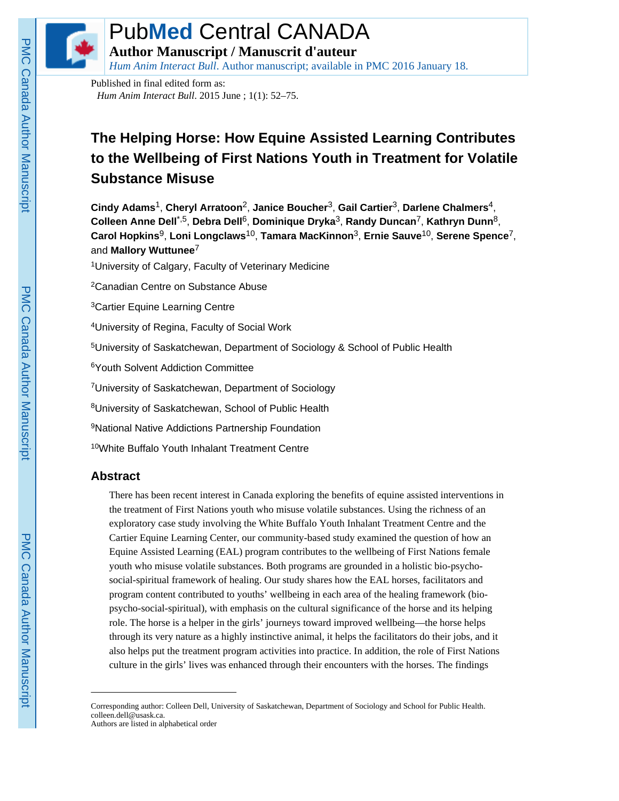

# Pub**Med** Central CANADA

**Author Manuscript / Manuscrit d'auteur**

*Hum Anim Interact Bull*. Author manuscript; available in PMC 2016 January 18.

Published in final edited form as: *Hum Anim Interact Bull*. 2015 June ; 1(1): 52–75.

## **The Helping Horse: How Equine Assisted Learning Contributes to the Wellbeing of First Nations Youth in Treatment for Volatile Substance Misuse**

**Cindy Adams**1, **Cheryl Arratoon**2, **Janice Boucher**3, **Gail Cartier**3, **Darlene Chalmers**4, **Colleen Anne Dell**\*,5, **Debra Dell**6, **Dominique Dryka**3, **Randy Duncan**7, **Kathryn Dunn**8, **Carol Hopkins**9, **Loni Longclaws**10, **Tamara MacKinnon**3, **Ernie Sauve**10, **Serene Spence**7, and **Mallory Wuttunee**<sup>7</sup>

<sup>1</sup>University of Calgary, Faculty of Veterinary Medicine

<sup>2</sup>Canadian Centre on Substance Abuse

<sup>3</sup>Cartier Equine Learning Centre

<sup>4</sup>University of Regina, Faculty of Social Work

<sup>5</sup>University of Saskatchewan, Department of Sociology & School of Public Health

<sup>6</sup>Youth Solvent Addiction Committee

<sup>7</sup>University of Saskatchewan, Department of Sociology

<sup>8</sup>University of Saskatchewan, School of Public Health

<sup>9</sup>National Native Addictions Partnership Foundation

<sup>10</sup>White Buffalo Youth Inhalant Treatment Centre

## **Abstract**

There has been recent interest in Canada exploring the benefits of equine assisted interventions in the treatment of First Nations youth who misuse volatile substances. Using the richness of an exploratory case study involving the White Buffalo Youth Inhalant Treatment Centre and the Cartier Equine Learning Center, our community-based study examined the question of how an Equine Assisted Learning (EAL) program contributes to the wellbeing of First Nations female youth who misuse volatile substances. Both programs are grounded in a holistic bio-psychosocial-spiritual framework of healing. Our study shares how the EAL horses, facilitators and program content contributed to youths' wellbeing in each area of the healing framework (biopsycho-social-spiritual), with emphasis on the cultural significance of the horse and its helping role. The horse is a helper in the girls' journeys toward improved wellbeing—the horse helps through its very nature as a highly instinctive animal, it helps the facilitators do their jobs, and it also helps put the treatment program activities into practice. In addition, the role of First Nations culture in the girls' lives was enhanced through their encounters with the horses. The findings

Corresponding author: Colleen Dell, University of Saskatchewan, Department of Sociology and School for Public Health. colleen.dell@usask.ca. Authors are listed in alphabetical order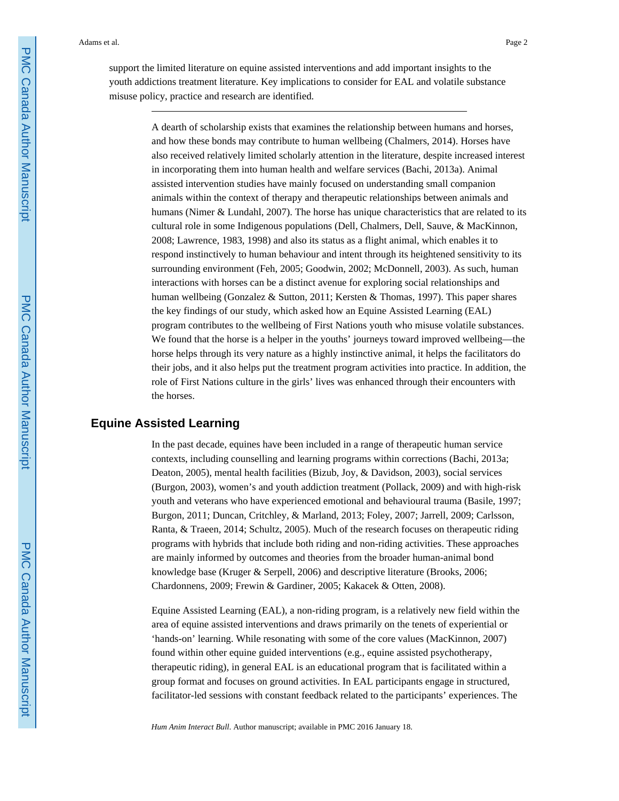support the limited literature on equine assisted interventions and add important insights to the youth addictions treatment literature. Key implications to consider for EAL and volatile substance misuse policy, practice and research are identified.

> A dearth of scholarship exists that examines the relationship between humans and horses, and how these bonds may contribute to human wellbeing (Chalmers, 2014). Horses have also received relatively limited scholarly attention in the literature, despite increased interest in incorporating them into human health and welfare services (Bachi, 2013a). Animal assisted intervention studies have mainly focused on understanding small companion animals within the context of therapy and therapeutic relationships between animals and humans (Nimer & Lundahl, 2007). The horse has unique characteristics that are related to its cultural role in some Indigenous populations (Dell, Chalmers, Dell, Sauve, & MacKinnon, 2008; Lawrence, 1983, 1998) and also its status as a flight animal, which enables it to respond instinctively to human behaviour and intent through its heightened sensitivity to its surrounding environment (Feh, 2005; Goodwin, 2002; McDonnell, 2003). As such, human interactions with horses can be a distinct avenue for exploring social relationships and human wellbeing (Gonzalez & Sutton, 2011; Kersten & Thomas, 1997). This paper shares the key findings of our study, which asked how an Equine Assisted Learning (EAL) program contributes to the wellbeing of First Nations youth who misuse volatile substances. We found that the horse is a helper in the youths' journeys toward improved wellbeing—the horse helps through its very nature as a highly instinctive animal, it helps the facilitators do their jobs, and it also helps put the treatment program activities into practice. In addition, the role of First Nations culture in the girls' lives was enhanced through their encounters with the horses.

## **Equine Assisted Learning**

In the past decade, equines have been included in a range of therapeutic human service contexts, including counselling and learning programs within corrections (Bachi, 2013a; Deaton, 2005), mental health facilities (Bizub, Joy, & Davidson, 2003), social services (Burgon, 2003), women's and youth addiction treatment (Pollack, 2009) and with high-risk youth and veterans who have experienced emotional and behavioural trauma (Basile, 1997; Burgon, 2011; Duncan, Critchley, & Marland, 2013; Foley, 2007; Jarrell, 2009; Carlsson, Ranta, & Traeen, 2014; Schultz, 2005). Much of the research focuses on therapeutic riding programs with hybrids that include both riding and non-riding activities. These approaches are mainly informed by outcomes and theories from the broader human-animal bond knowledge base (Kruger & Serpell, 2006) and descriptive literature (Brooks, 2006; Chardonnens, 2009; Frewin & Gardiner, 2005; Kakacek & Otten, 2008).

Equine Assisted Learning (EAL), a non-riding program, is a relatively new field within the area of equine assisted interventions and draws primarily on the tenets of experiential or 'hands-on' learning. While resonating with some of the core values (MacKinnon, 2007) found within other equine guided interventions (e.g., equine assisted psychotherapy, therapeutic riding), in general EAL is an educational program that is facilitated within a group format and focuses on ground activities. In EAL participants engage in structured, facilitator-led sessions with constant feedback related to the participants' experiences. The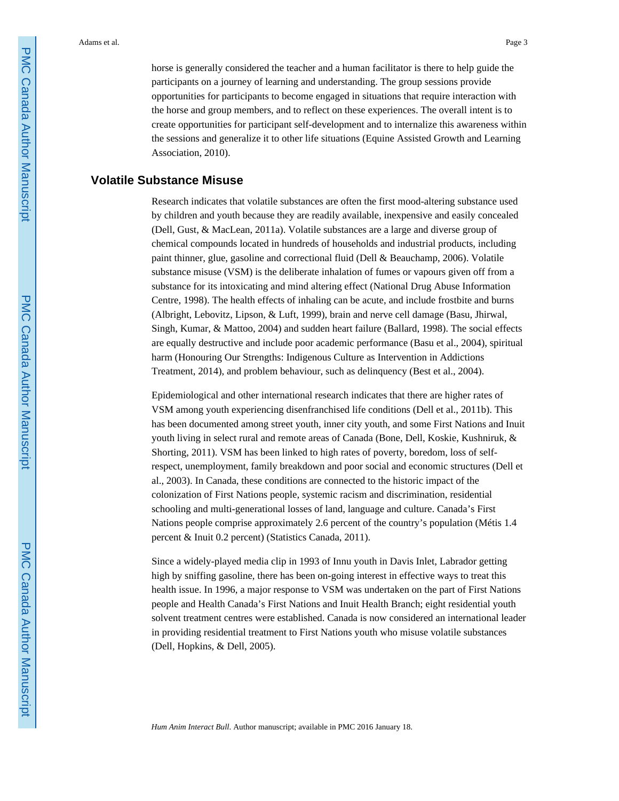horse is generally considered the teacher and a human facilitator is there to help guide the participants on a journey of learning and understanding. The group sessions provide opportunities for participants to become engaged in situations that require interaction with the horse and group members, and to reflect on these experiences. The overall intent is to create opportunities for participant self-development and to internalize this awareness within the sessions and generalize it to other life situations (Equine Assisted Growth and Learning Association, 2010).

## **Volatile Substance Misuse**

Research indicates that volatile substances are often the first mood-altering substance used by children and youth because they are readily available, inexpensive and easily concealed (Dell, Gust, & MacLean, 2011a). Volatile substances are a large and diverse group of chemical compounds located in hundreds of households and industrial products, including paint thinner, glue, gasoline and correctional fluid (Dell & Beauchamp, 2006). Volatile substance misuse (VSM) is the deliberate inhalation of fumes or vapours given off from a substance for its intoxicating and mind altering effect (National Drug Abuse Information Centre, 1998). The health effects of inhaling can be acute, and include frostbite and burns (Albright, Lebovitz, Lipson, & Luft, 1999), brain and nerve cell damage (Basu, Jhirwal, Singh, Kumar, & Mattoo, 2004) and sudden heart failure (Ballard, 1998). The social effects are equally destructive and include poor academic performance (Basu et al., 2004), spiritual harm (Honouring Our Strengths: Indigenous Culture as Intervention in Addictions Treatment, 2014), and problem behaviour, such as delinquency (Best et al., 2004).

Epidemiological and other international research indicates that there are higher rates of VSM among youth experiencing disenfranchised life conditions (Dell et al., 2011b). This has been documented among street youth, inner city youth, and some First Nations and Inuit youth living in select rural and remote areas of Canada (Bone, Dell, Koskie, Kushniruk, & Shorting, 2011). VSM has been linked to high rates of poverty, boredom, loss of selfrespect, unemployment, family breakdown and poor social and economic structures (Dell et al., 2003). In Canada, these conditions are connected to the historic impact of the colonization of First Nations people, systemic racism and discrimination, residential schooling and multi-generational losses of land, language and culture. Canada's First Nations people comprise approximately 2.6 percent of the country's population (Métis 1.4 percent & Inuit 0.2 percent) (Statistics Canada, 2011).

Since a widely-played media clip in 1993 of Innu youth in Davis Inlet, Labrador getting high by sniffing gasoline, there has been on-going interest in effective ways to treat this health issue. In 1996, a major response to VSM was undertaken on the part of First Nations people and Health Canada's First Nations and Inuit Health Branch; eight residential youth solvent treatment centres were established. Canada is now considered an international leader in providing residential treatment to First Nations youth who misuse volatile substances (Dell, Hopkins, & Dell, 2005).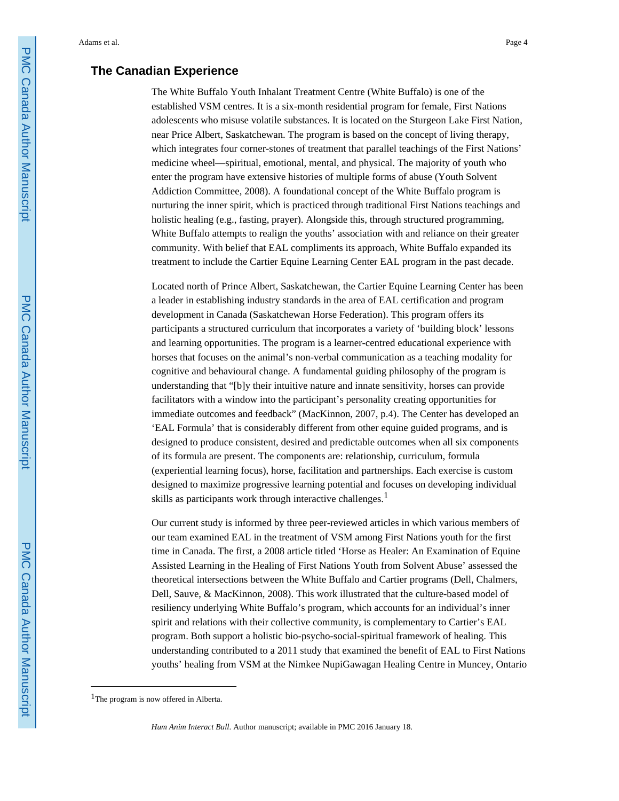## **The Canadian Experience**

The White Buffalo Youth Inhalant Treatment Centre (White Buffalo) is one of the established VSM centres. It is a six-month residential program for female, First Nations adolescents who misuse volatile substances. It is located on the Sturgeon Lake First Nation, near Price Albert, Saskatchewan. The program is based on the concept of living therapy, which integrates four corner-stones of treatment that parallel teachings of the First Nations' medicine wheel—spiritual, emotional, mental, and physical. The majority of youth who enter the program have extensive histories of multiple forms of abuse (Youth Solvent Addiction Committee, 2008). A foundational concept of the White Buffalo program is nurturing the inner spirit, which is practiced through traditional First Nations teachings and holistic healing (e.g., fasting, prayer). Alongside this, through structured programming, White Buffalo attempts to realign the youths' association with and reliance on their greater community. With belief that EAL compliments its approach, White Buffalo expanded its treatment to include the Cartier Equine Learning Center EAL program in the past decade.

Located north of Prince Albert, Saskatchewan, the Cartier Equine Learning Center has been a leader in establishing industry standards in the area of EAL certification and program development in Canada (Saskatchewan Horse Federation). This program offers its participants a structured curriculum that incorporates a variety of 'building block' lessons and learning opportunities. The program is a learner-centred educational experience with horses that focuses on the animal's non-verbal communication as a teaching modality for cognitive and behavioural change. A fundamental guiding philosophy of the program is understanding that "[b]y their intuitive nature and innate sensitivity, horses can provide facilitators with a window into the participant's personality creating opportunities for immediate outcomes and feedback" (MacKinnon, 2007, p.4). The Center has developed an 'EAL Formula' that is considerably different from other equine guided programs, and is designed to produce consistent, desired and predictable outcomes when all six components of its formula are present. The components are: relationship, curriculum, formula (experiential learning focus), horse, facilitation and partnerships. Each exercise is custom designed to maximize progressive learning potential and focuses on developing individual skills as participants work through interactive challenges.<sup>1</sup>

Our current study is informed by three peer-reviewed articles in which various members of our team examined EAL in the treatment of VSM among First Nations youth for the first time in Canada. The first, a 2008 article titled 'Horse as Healer: An Examination of Equine Assisted Learning in the Healing of First Nations Youth from Solvent Abuse' assessed the theoretical intersections between the White Buffalo and Cartier programs (Dell, Chalmers, Dell, Sauve, & MacKinnon, 2008). This work illustrated that the culture-based model of resiliency underlying White Buffalo's program, which accounts for an individual's inner spirit and relations with their collective community, is complementary to Cartier's EAL program. Both support a holistic bio-psycho-social-spiritual framework of healing. This understanding contributed to a 2011 study that examined the benefit of EAL to First Nations youths' healing from VSM at the Nimkee NupiGawagan Healing Centre in Muncey, Ontario

<sup>&</sup>lt;sup>1</sup>The program is now offered in Alberta.

*Hum Anim Interact Bull*. Author manuscript; available in PMC 2016 January 18.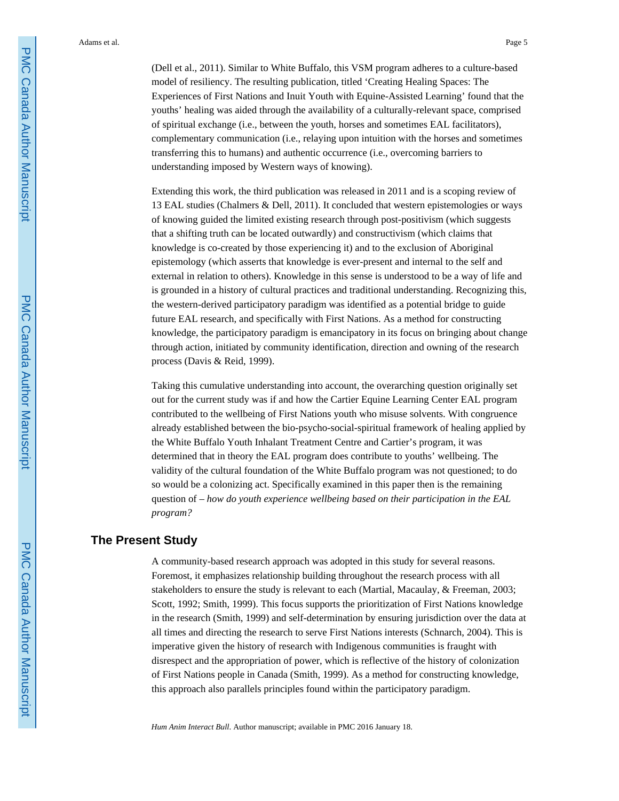(Dell et al., 2011). Similar to White Buffalo, this VSM program adheres to a culture-based model of resiliency. The resulting publication, titled 'Creating Healing Spaces: The Experiences of First Nations and Inuit Youth with Equine-Assisted Learning' found that the youths' healing was aided through the availability of a culturally-relevant space, comprised of spiritual exchange (i.e., between the youth, horses and sometimes EAL facilitators), complementary communication (i.e., relaying upon intuition with the horses and sometimes transferring this to humans) and authentic occurrence (i.e., overcoming barriers to understanding imposed by Western ways of knowing).

Extending this work, the third publication was released in 2011 and is a scoping review of 13 EAL studies (Chalmers & Dell, 2011). It concluded that western epistemologies or ways of knowing guided the limited existing research through post-positivism (which suggests that a shifting truth can be located outwardly) and constructivism (which claims that knowledge is co-created by those experiencing it) and to the exclusion of Aboriginal epistemology (which asserts that knowledge is ever-present and internal to the self and external in relation to others). Knowledge in this sense is understood to be a way of life and is grounded in a history of cultural practices and traditional understanding. Recognizing this, the western-derived participatory paradigm was identified as a potential bridge to guide future EAL research, and specifically with First Nations. As a method for constructing knowledge, the participatory paradigm is emancipatory in its focus on bringing about change through action, initiated by community identification, direction and owning of the research process (Davis & Reid, 1999).

Taking this cumulative understanding into account, the overarching question originally set out for the current study was if and how the Cartier Equine Learning Center EAL program contributed to the wellbeing of First Nations youth who misuse solvents. With congruence already established between the bio-psycho-social-spiritual framework of healing applied by the White Buffalo Youth Inhalant Treatment Centre and Cartier's program, it was determined that in theory the EAL program does contribute to youths' wellbeing. The validity of the cultural foundation of the White Buffalo program was not questioned; to do so would be a colonizing act. Specifically examined in this paper then is the remaining question of – *how do youth experience wellbeing based on their participation in the EAL program?*

#### **The Present Study**

A community-based research approach was adopted in this study for several reasons. Foremost, it emphasizes relationship building throughout the research process with all stakeholders to ensure the study is relevant to each (Martial, Macaulay, & Freeman, 2003; Scott, 1992; Smith, 1999). This focus supports the prioritization of First Nations knowledge in the research (Smith, 1999) and self-determination by ensuring jurisdiction over the data at all times and directing the research to serve First Nations interests (Schnarch, 2004). This is imperative given the history of research with Indigenous communities is fraught with disrespect and the appropriation of power, which is reflective of the history of colonization of First Nations people in Canada (Smith, 1999). As a method for constructing knowledge, this approach also parallels principles found within the participatory paradigm.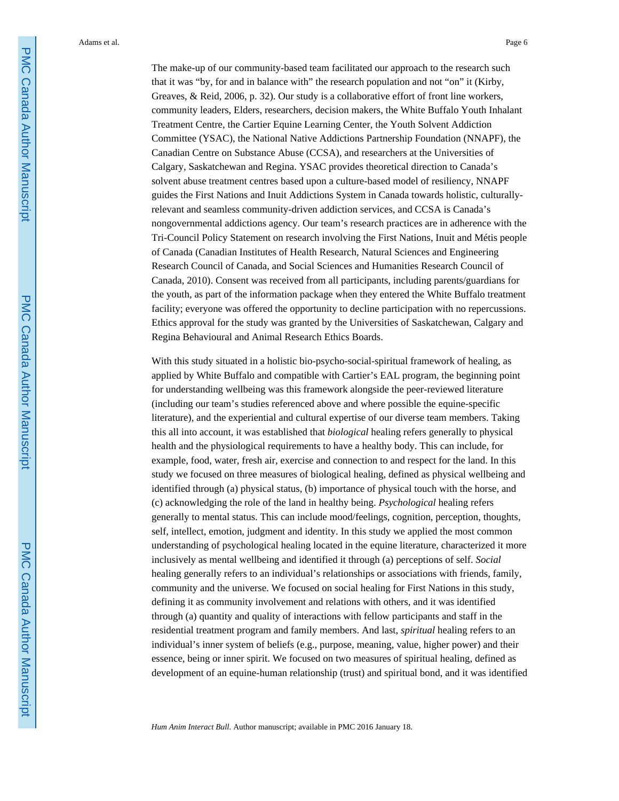The make-up of our community-based team facilitated our approach to the research such that it was "by, for and in balance with" the research population and not "on" it (Kirby, Greaves, & Reid, 2006, p. 32). Our study is a collaborative effort of front line workers, community leaders, Elders, researchers, decision makers, the White Buffalo Youth Inhalant Treatment Centre, the Cartier Equine Learning Center, the Youth Solvent Addiction Committee (YSAC), the National Native Addictions Partnership Foundation (NNAPF), the Canadian Centre on Substance Abuse (CCSA), and researchers at the Universities of Calgary, Saskatchewan and Regina. YSAC provides theoretical direction to Canada's solvent abuse treatment centres based upon a culture-based model of resiliency, NNAPF guides the First Nations and Inuit Addictions System in Canada towards holistic, culturallyrelevant and seamless community-driven addiction services, and CCSA is Canada's nongovernmental addictions agency. Our team's research practices are in adherence with the Tri-Council Policy Statement on research involving the First Nations, Inuit and Métis people of Canada (Canadian Institutes of Health Research, Natural Sciences and Engineering Research Council of Canada, and Social Sciences and Humanities Research Council of Canada, 2010). Consent was received from all participants, including parents/guardians for the youth, as part of the information package when they entered the White Buffalo treatment facility; everyone was offered the opportunity to decline participation with no repercussions. Ethics approval for the study was granted by the Universities of Saskatchewan, Calgary and Regina Behavioural and Animal Research Ethics Boards.

With this study situated in a holistic bio-psycho-social-spiritual framework of healing, as applied by White Buffalo and compatible with Cartier's EAL program, the beginning point for understanding wellbeing was this framework alongside the peer-reviewed literature (including our team's studies referenced above and where possible the equine-specific literature), and the experiential and cultural expertise of our diverse team members. Taking this all into account, it was established that *biological* healing refers generally to physical health and the physiological requirements to have a healthy body. This can include, for example, food, water, fresh air, exercise and connection to and respect for the land. In this study we focused on three measures of biological healing, defined as physical wellbeing and identified through (a) physical status, (b) importance of physical touch with the horse, and (c) acknowledging the role of the land in healthy being. *Psychological* healing refers generally to mental status. This can include mood/feelings, cognition, perception, thoughts, self, intellect, emotion, judgment and identity. In this study we applied the most common understanding of psychological healing located in the equine literature, characterized it more inclusively as mental wellbeing and identified it through (a) perceptions of self. *Social*  healing generally refers to an individual's relationships or associations with friends, family, community and the universe. We focused on social healing for First Nations in this study, defining it as community involvement and relations with others, and it was identified through (a) quantity and quality of interactions with fellow participants and staff in the residential treatment program and family members. And last, *spiritual* healing refers to an individual's inner system of beliefs (e.g., purpose, meaning, value, higher power) and their essence, being or inner spirit. We focused on two measures of spiritual healing, defined as development of an equine-human relationship (trust) and spiritual bond, and it was identified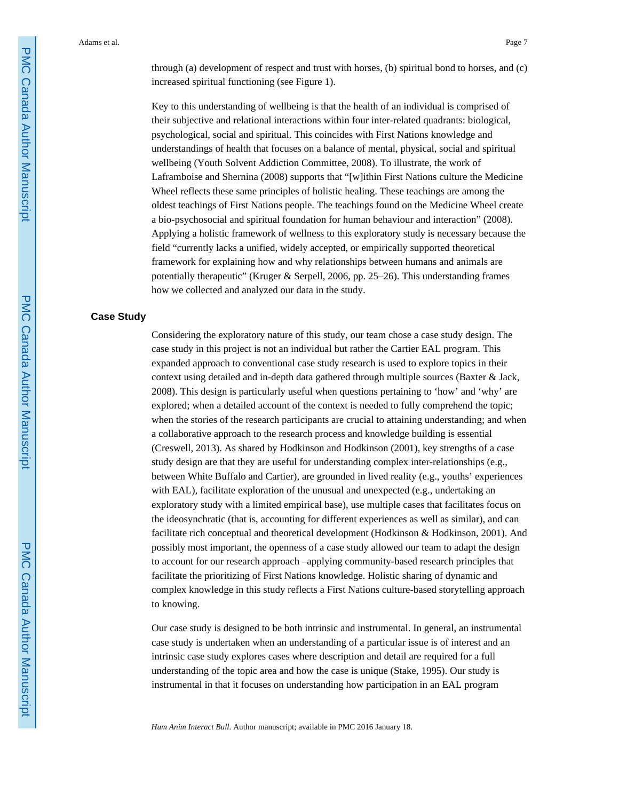through (a) development of respect and trust with horses, (b) spiritual bond to horses, and (c) increased spiritual functioning (see Figure 1).

Key to this understanding of wellbeing is that the health of an individual is comprised of their subjective and relational interactions within four inter-related quadrants: biological, psychological, social and spiritual. This coincides with First Nations knowledge and understandings of health that focuses on a balance of mental, physical, social and spiritual wellbeing (Youth Solvent Addiction Committee, 2008). To illustrate, the work of Laframboise and Shernina (2008) supports that "[w]ithin First Nations culture the Medicine Wheel reflects these same principles of holistic healing. These teachings are among the oldest teachings of First Nations people. The teachings found on the Medicine Wheel create a bio-psychosocial and spiritual foundation for human behaviour and interaction" (2008). Applying a holistic framework of wellness to this exploratory study is necessary because the field "currently lacks a unified, widely accepted, or empirically supported theoretical framework for explaining how and why relationships between humans and animals are potentially therapeutic" (Kruger & Serpell, 2006, pp. 25–26). This understanding frames how we collected and analyzed our data in the study.

#### **Case Study**

Considering the exploratory nature of this study, our team chose a case study design. The case study in this project is not an individual but rather the Cartier EAL program. This expanded approach to conventional case study research is used to explore topics in their context using detailed and in-depth data gathered through multiple sources (Baxter & Jack, 2008). This design is particularly useful when questions pertaining to 'how' and 'why' are explored; when a detailed account of the context is needed to fully comprehend the topic; when the stories of the research participants are crucial to attaining understanding; and when a collaborative approach to the research process and knowledge building is essential (Creswell, 2013). As shared by Hodkinson and Hodkinson (2001), key strengths of a case study design are that they are useful for understanding complex inter-relationships (e.g., between White Buffalo and Cartier), are grounded in lived reality (e.g., youths' experiences with EAL), facilitate exploration of the unusual and unexpected (e.g., undertaking an exploratory study with a limited empirical base), use multiple cases that facilitates focus on the ideosynchratic (that is, accounting for different experiences as well as similar), and can facilitate rich conceptual and theoretical development (Hodkinson & Hodkinson, 2001). And possibly most important, the openness of a case study allowed our team to adapt the design to account for our research approach –applying community-based research principles that facilitate the prioritizing of First Nations knowledge. Holistic sharing of dynamic and complex knowledge in this study reflects a First Nations culture-based storytelling approach to knowing.

Our case study is designed to be both intrinsic and instrumental. In general, an instrumental case study is undertaken when an understanding of a particular issue is of interest and an intrinsic case study explores cases where description and detail are required for a full understanding of the topic area and how the case is unique (Stake, 1995). Our study is instrumental in that it focuses on understanding how participation in an EAL program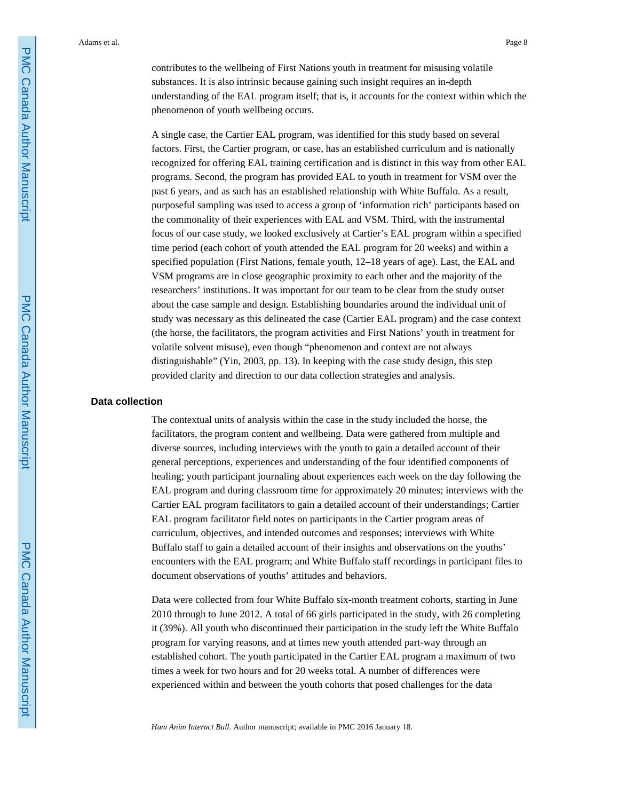contributes to the wellbeing of First Nations youth in treatment for misusing volatile substances. It is also intrinsic because gaining such insight requires an in-depth understanding of the EAL program itself; that is, it accounts for the context within which the phenomenon of youth wellbeing occurs.

A single case, the Cartier EAL program, was identified for this study based on several factors. First, the Cartier program, or case, has an established curriculum and is nationally recognized for offering EAL training certification and is distinct in this way from other EAL programs. Second, the program has provided EAL to youth in treatment for VSM over the past 6 years, and as such has an established relationship with White Buffalo. As a result, purposeful sampling was used to access a group of 'information rich' participants based on the commonality of their experiences with EAL and VSM. Third, with the instrumental focus of our case study, we looked exclusively at Cartier's EAL program within a specified time period (each cohort of youth attended the EAL program for 20 weeks) and within a specified population (First Nations, female youth, 12–18 years of age). Last, the EAL and VSM programs are in close geographic proximity to each other and the majority of the researchers' institutions. It was important for our team to be clear from the study outset about the case sample and design. Establishing boundaries around the individual unit of study was necessary as this delineated the case (Cartier EAL program) and the case context (the horse, the facilitators, the program activities and First Nations' youth in treatment for volatile solvent misuse), even though "phenomenon and context are not always distinguishable" (Yin, 2003, pp. 13). In keeping with the case study design, this step provided clarity and direction to our data collection strategies and analysis.

#### **Data collection**

The contextual units of analysis within the case in the study included the horse, the facilitators, the program content and wellbeing. Data were gathered from multiple and diverse sources, including interviews with the youth to gain a detailed account of their general perceptions, experiences and understanding of the four identified components of healing; youth participant journaling about experiences each week on the day following the EAL program and during classroom time for approximately 20 minutes; interviews with the Cartier EAL program facilitators to gain a detailed account of their understandings; Cartier EAL program facilitator field notes on participants in the Cartier program areas of curriculum, objectives, and intended outcomes and responses; interviews with White Buffalo staff to gain a detailed account of their insights and observations on the youths' encounters with the EAL program; and White Buffalo staff recordings in participant files to document observations of youths' attitudes and behaviors.

Data were collected from four White Buffalo six-month treatment cohorts, starting in June 2010 through to June 2012. A total of 66 girls participated in the study, with 26 completing it (39%). All youth who discontinued their participation in the study left the White Buffalo program for varying reasons, and at times new youth attended part-way through an established cohort. The youth participated in the Cartier EAL program a maximum of two times a week for two hours and for 20 weeks total. A number of differences were experienced within and between the youth cohorts that posed challenges for the data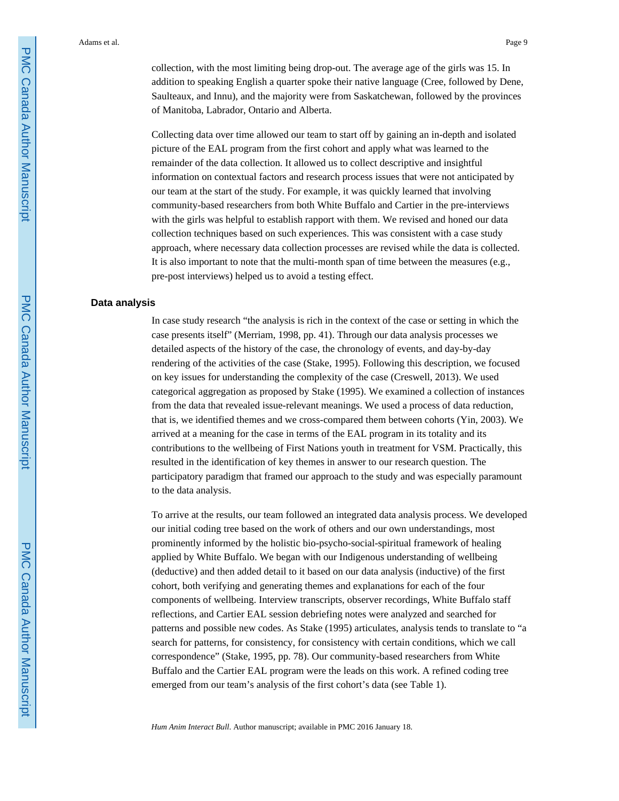collection, with the most limiting being drop-out. The average age of the girls was 15. In addition to speaking English a quarter spoke their native language (Cree, followed by Dene, Saulteaux, and Innu), and the majority were from Saskatchewan, followed by the provinces of Manitoba, Labrador, Ontario and Alberta.

Collecting data over time allowed our team to start off by gaining an in-depth and isolated picture of the EAL program from the first cohort and apply what was learned to the remainder of the data collection. It allowed us to collect descriptive and insightful information on contextual factors and research process issues that were not anticipated by our team at the start of the study. For example, it was quickly learned that involving community-based researchers from both White Buffalo and Cartier in the pre-interviews with the girls was helpful to establish rapport with them. We revised and honed our data collection techniques based on such experiences. This was consistent with a case study approach, where necessary data collection processes are revised while the data is collected. It is also important to note that the multi-month span of time between the measures (e.g., pre-post interviews) helped us to avoid a testing effect.

#### **Data analysis**

In case study research "the analysis is rich in the context of the case or setting in which the case presents itself" (Merriam, 1998, pp. 41). Through our data analysis processes we detailed aspects of the history of the case, the chronology of events, and day-by-day rendering of the activities of the case (Stake, 1995). Following this description, we focused on key issues for understanding the complexity of the case (Creswell, 2013). We used categorical aggregation as proposed by Stake (1995). We examined a collection of instances from the data that revealed issue-relevant meanings. We used a process of data reduction, that is, we identified themes and we cross-compared them between cohorts (Yin, 2003). We arrived at a meaning for the case in terms of the EAL program in its totality and its contributions to the wellbeing of First Nations youth in treatment for VSM. Practically, this resulted in the identification of key themes in answer to our research question. The participatory paradigm that framed our approach to the study and was especially paramount to the data analysis.

To arrive at the results, our team followed an integrated data analysis process. We developed our initial coding tree based on the work of others and our own understandings, most prominently informed by the holistic bio-psycho-social-spiritual framework of healing applied by White Buffalo. We began with our Indigenous understanding of wellbeing (deductive) and then added detail to it based on our data analysis (inductive) of the first cohort, both verifying and generating themes and explanations for each of the four components of wellbeing. Interview transcripts, observer recordings, White Buffalo staff reflections, and Cartier EAL session debriefing notes were analyzed and searched for patterns and possible new codes. As Stake (1995) articulates, analysis tends to translate to "a search for patterns, for consistency, for consistency with certain conditions, which we call correspondence" (Stake, 1995, pp. 78). Our community-based researchers from White Buffalo and the Cartier EAL program were the leads on this work. A refined coding tree emerged from our team's analysis of the first cohort's data (see Table 1).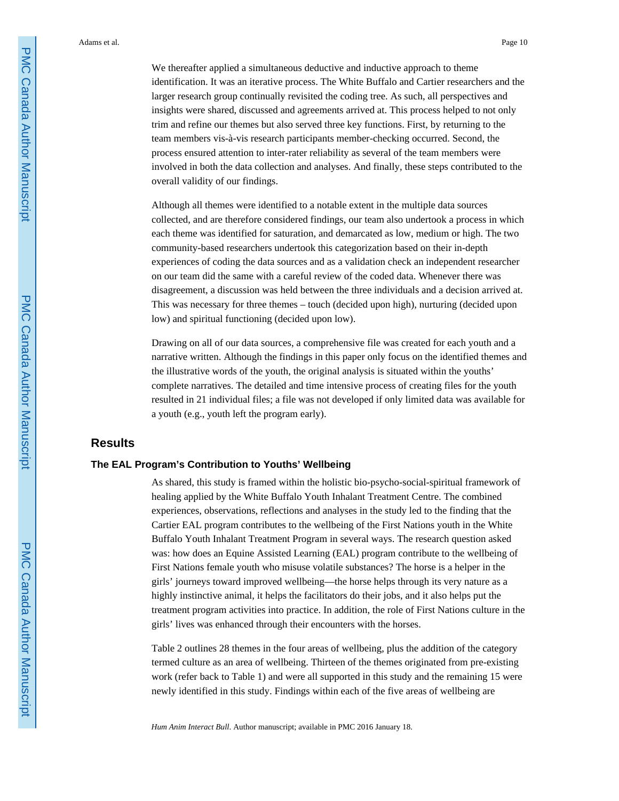We thereafter applied a simultaneous deductive and inductive approach to theme identification. It was an iterative process. The White Buffalo and Cartier researchers and the larger research group continually revisited the coding tree. As such, all perspectives and insights were shared, discussed and agreements arrived at. This process helped to not only trim and refine our themes but also served three key functions. First, by returning to the team members vis-à-vis research participants member-checking occurred. Second, the process ensured attention to inter-rater reliability as several of the team members were involved in both the data collection and analyses. And finally, these steps contributed to the overall validity of our findings.

Although all themes were identified to a notable extent in the multiple data sources collected, and are therefore considered findings, our team also undertook a process in which each theme was identified for saturation, and demarcated as low, medium or high. The two community-based researchers undertook this categorization based on their in-depth experiences of coding the data sources and as a validation check an independent researcher on our team did the same with a careful review of the coded data. Whenever there was disagreement, a discussion was held between the three individuals and a decision arrived at. This was necessary for three themes – touch (decided upon high), nurturing (decided upon low) and spiritual functioning (decided upon low).

Drawing on all of our data sources, a comprehensive file was created for each youth and a narrative written. Although the findings in this paper only focus on the identified themes and the illustrative words of the youth, the original analysis is situated within the youths' complete narratives. The detailed and time intensive process of creating files for the youth resulted in 21 individual files; a file was not developed if only limited data was available for a youth (e.g., youth left the program early).

## **Results**

#### **The EAL Program's Contribution to Youths' Wellbeing**

As shared, this study is framed within the holistic bio-psycho-social-spiritual framework of healing applied by the White Buffalo Youth Inhalant Treatment Centre. The combined experiences, observations, reflections and analyses in the study led to the finding that the Cartier EAL program contributes to the wellbeing of the First Nations youth in the White Buffalo Youth Inhalant Treatment Program in several ways. The research question asked was: how does an Equine Assisted Learning (EAL) program contribute to the wellbeing of First Nations female youth who misuse volatile substances? The horse is a helper in the girls' journeys toward improved wellbeing—the horse helps through its very nature as a highly instinctive animal, it helps the facilitators do their jobs, and it also helps put the treatment program activities into practice. In addition, the role of First Nations culture in the girls' lives was enhanced through their encounters with the horses.

Table 2 outlines 28 themes in the four areas of wellbeing, plus the addition of the category termed culture as an area of wellbeing. Thirteen of the themes originated from pre-existing work (refer back to Table 1) and were all supported in this study and the remaining 15 were newly identified in this study. Findings within each of the five areas of wellbeing are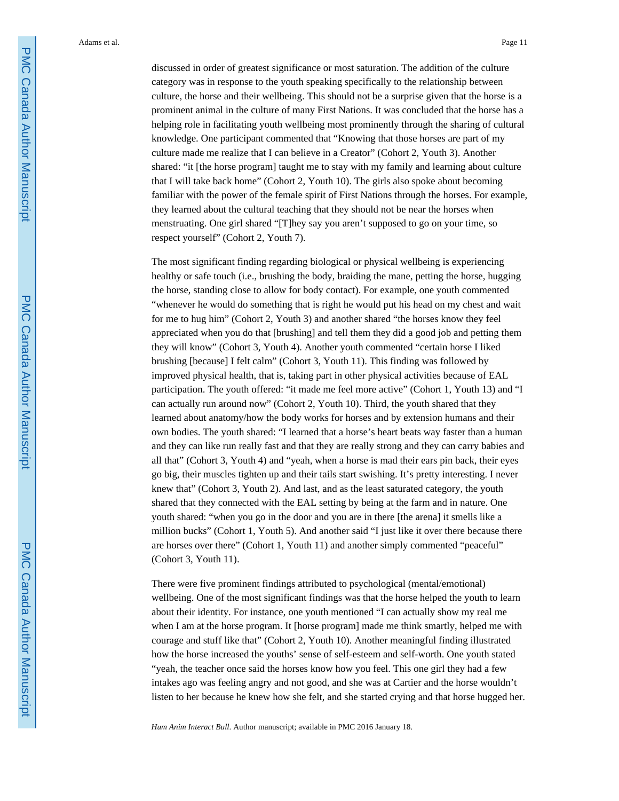discussed in order of greatest significance or most saturation. The addition of the culture category was in response to the youth speaking specifically to the relationship between culture, the horse and their wellbeing. This should not be a surprise given that the horse is a prominent animal in the culture of many First Nations. It was concluded that the horse has a helping role in facilitating youth wellbeing most prominently through the sharing of cultural knowledge. One participant commented that "Knowing that those horses are part of my culture made me realize that I can believe in a Creator" (Cohort 2, Youth 3). Another shared: "it [the horse program] taught me to stay with my family and learning about culture that I will take back home" (Cohort 2, Youth 10). The girls also spoke about becoming familiar with the power of the female spirit of First Nations through the horses. For example, they learned about the cultural teaching that they should not be near the horses when menstruating. One girl shared "[T]hey say you aren't supposed to go on your time, so respect yourself" (Cohort 2, Youth 7).

The most significant finding regarding biological or physical wellbeing is experiencing healthy or safe touch (i.e., brushing the body, braiding the mane, petting the horse, hugging the horse, standing close to allow for body contact). For example, one youth commented "whenever he would do something that is right he would put his head on my chest and wait for me to hug him" (Cohort 2, Youth 3) and another shared "the horses know they feel appreciated when you do that [brushing] and tell them they did a good job and petting them they will know" (Cohort 3, Youth 4). Another youth commented "certain horse I liked brushing [because] I felt calm" (Cohort 3, Youth 11). This finding was followed by improved physical health, that is, taking part in other physical activities because of EAL participation. The youth offered: "it made me feel more active" (Cohort 1, Youth 13) and "I can actually run around now" (Cohort 2, Youth 10). Third, the youth shared that they learned about anatomy/how the body works for horses and by extension humans and their own bodies. The youth shared: "I learned that a horse's heart beats way faster than a human and they can like run really fast and that they are really strong and they can carry babies and all that" (Cohort 3, Youth 4) and "yeah, when a horse is mad their ears pin back, their eyes go big, their muscles tighten up and their tails start swishing. It's pretty interesting. I never knew that" (Cohort 3, Youth 2). And last, and as the least saturated category, the youth shared that they connected with the EAL setting by being at the farm and in nature. One youth shared: "when you go in the door and you are in there [the arena] it smells like a million bucks" (Cohort 1, Youth 5). And another said "I just like it over there because there are horses over there" (Cohort 1, Youth 11) and another simply commented "peaceful" (Cohort 3, Youth 11).

There were five prominent findings attributed to psychological (mental/emotional) wellbeing. One of the most significant findings was that the horse helped the youth to learn about their identity. For instance, one youth mentioned "I can actually show my real me when I am at the horse program. It [horse program] made me think smartly, helped me with courage and stuff like that" (Cohort 2, Youth 10). Another meaningful finding illustrated how the horse increased the youths' sense of self-esteem and self-worth. One youth stated "yeah, the teacher once said the horses know how you feel. This one girl they had a few intakes ago was feeling angry and not good, and she was at Cartier and the horse wouldn't listen to her because he knew how she felt, and she started crying and that horse hugged her.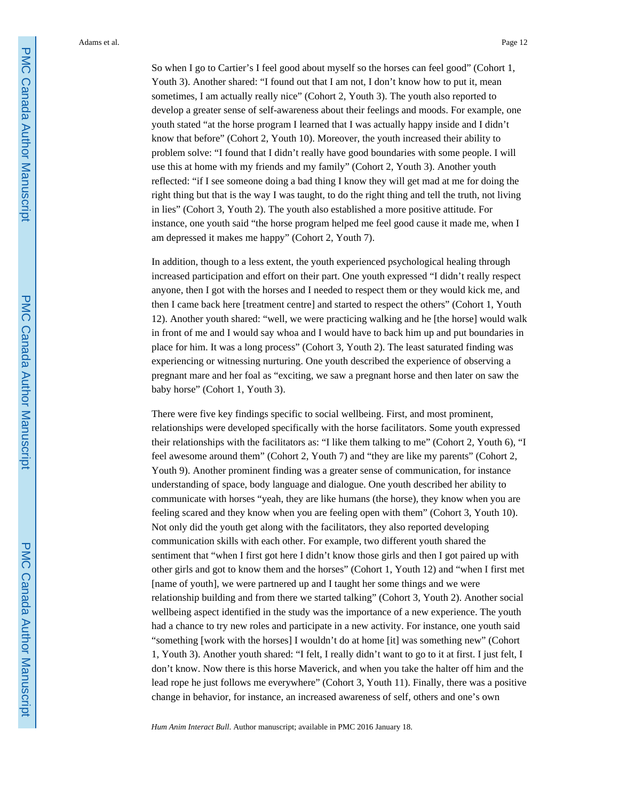So when I go to Cartier's I feel good about myself so the horses can feel good" (Cohort 1, Youth 3). Another shared: "I found out that I am not, I don't know how to put it, mean sometimes, I am actually really nice" (Cohort 2, Youth 3). The youth also reported to develop a greater sense of self-awareness about their feelings and moods. For example, one youth stated "at the horse program I learned that I was actually happy inside and I didn't know that before" (Cohort 2, Youth 10). Moreover, the youth increased their ability to problem solve: "I found that I didn't really have good boundaries with some people. I will use this at home with my friends and my family" (Cohort 2, Youth 3). Another youth reflected: "if I see someone doing a bad thing I know they will get mad at me for doing the right thing but that is the way I was taught, to do the right thing and tell the truth, not living in lies" (Cohort 3, Youth 2). The youth also established a more positive attitude. For instance, one youth said "the horse program helped me feel good cause it made me, when I am depressed it makes me happy" (Cohort 2, Youth 7).

In addition, though to a less extent, the youth experienced psychological healing through increased participation and effort on their part. One youth expressed "I didn't really respect anyone, then I got with the horses and I needed to respect them or they would kick me, and then I came back here [treatment centre] and started to respect the others" (Cohort 1, Youth 12). Another youth shared: "well, we were practicing walking and he [the horse] would walk in front of me and I would say whoa and I would have to back him up and put boundaries in place for him. It was a long process" (Cohort 3, Youth 2). The least saturated finding was experiencing or witnessing nurturing. One youth described the experience of observing a pregnant mare and her foal as "exciting, we saw a pregnant horse and then later on saw the baby horse" (Cohort 1, Youth 3).

There were five key findings specific to social wellbeing. First, and most prominent, relationships were developed specifically with the horse facilitators. Some youth expressed their relationships with the facilitators as: "I like them talking to me" (Cohort 2, Youth 6), "I feel awesome around them" (Cohort 2, Youth 7) and "they are like my parents" (Cohort 2, Youth 9). Another prominent finding was a greater sense of communication, for instance understanding of space, body language and dialogue. One youth described her ability to communicate with horses "yeah, they are like humans (the horse), they know when you are feeling scared and they know when you are feeling open with them" (Cohort 3, Youth 10). Not only did the youth get along with the facilitators, they also reported developing communication skills with each other. For example, two different youth shared the sentiment that "when I first got here I didn't know those girls and then I got paired up with other girls and got to know them and the horses" (Cohort 1, Youth 12) and "when I first met [name of youth], we were partnered up and I taught her some things and we were relationship building and from there we started talking" (Cohort 3, Youth 2). Another social wellbeing aspect identified in the study was the importance of a new experience. The youth had a chance to try new roles and participate in a new activity. For instance, one youth said "something [work with the horses] I wouldn't do at home [it] was something new" (Cohort 1, Youth 3). Another youth shared: "I felt, I really didn't want to go to it at first. I just felt, I don't know. Now there is this horse Maverick, and when you take the halter off him and the lead rope he just follows me everywhere" (Cohort 3, Youth 11). Finally, there was a positive change in behavior, for instance, an increased awareness of self, others and one's own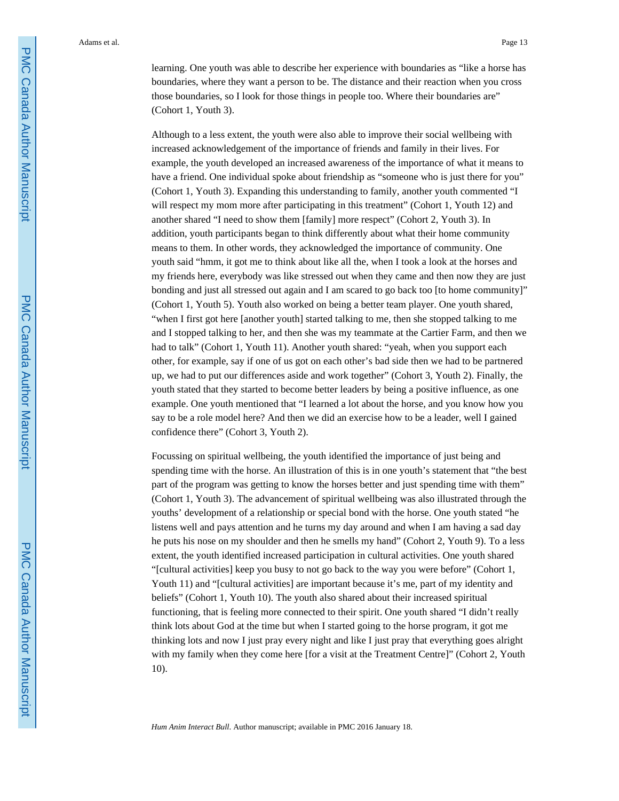learning. One youth was able to describe her experience with boundaries as "like a horse has boundaries, where they want a person to be. The distance and their reaction when you cross those boundaries, so I look for those things in people too. Where their boundaries are" (Cohort 1, Youth 3).

Although to a less extent, the youth were also able to improve their social wellbeing with increased acknowledgement of the importance of friends and family in their lives. For example, the youth developed an increased awareness of the importance of what it means to have a friend. One individual spoke about friendship as "someone who is just there for you" (Cohort 1, Youth 3). Expanding this understanding to family, another youth commented "I will respect my mom more after participating in this treatment" (Cohort 1, Youth 12) and another shared "I need to show them [family] more respect" (Cohort 2, Youth 3). In addition, youth participants began to think differently about what their home community means to them. In other words, they acknowledged the importance of community. One youth said "hmm, it got me to think about like all the, when I took a look at the horses and my friends here, everybody was like stressed out when they came and then now they are just bonding and just all stressed out again and I am scared to go back too [to home community]" (Cohort 1, Youth 5). Youth also worked on being a better team player. One youth shared, "when I first got here [another youth] started talking to me, then she stopped talking to me and I stopped talking to her, and then she was my teammate at the Cartier Farm, and then we had to talk" (Cohort 1, Youth 11). Another youth shared: "yeah, when you support each other, for example, say if one of us got on each other's bad side then we had to be partnered up, we had to put our differences aside and work together" (Cohort 3, Youth 2). Finally, the youth stated that they started to become better leaders by being a positive influence, as one example. One youth mentioned that "I learned a lot about the horse, and you know how you say to be a role model here? And then we did an exercise how to be a leader, well I gained confidence there" (Cohort 3, Youth 2).

Focussing on spiritual wellbeing, the youth identified the importance of just being and spending time with the horse. An illustration of this is in one youth's statement that "the best part of the program was getting to know the horses better and just spending time with them" (Cohort 1, Youth 3). The advancement of spiritual wellbeing was also illustrated through the youths' development of a relationship or special bond with the horse. One youth stated "he listens well and pays attention and he turns my day around and when I am having a sad day he puts his nose on my shoulder and then he smells my hand" (Cohort 2, Youth 9). To a less extent, the youth identified increased participation in cultural activities. One youth shared "[cultural activities] keep you busy to not go back to the way you were before" (Cohort 1, Youth 11) and "[cultural activities] are important because it's me, part of my identity and beliefs" (Cohort 1, Youth 10). The youth also shared about their increased spiritual functioning, that is feeling more connected to their spirit. One youth shared "I didn't really think lots about God at the time but when I started going to the horse program, it got me thinking lots and now I just pray every night and like I just pray that everything goes alright with my family when they come here [for a visit at the Treatment Centre]" (Cohort 2, Youth 10).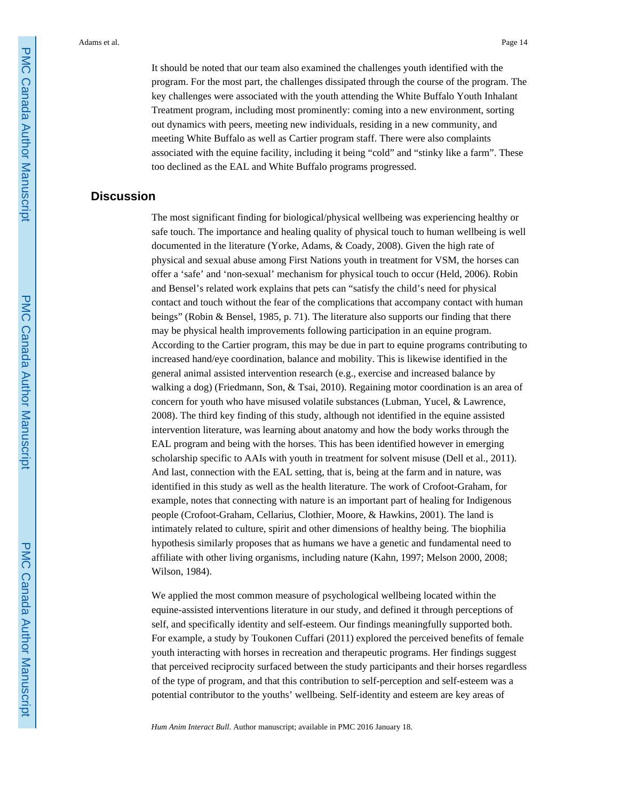It should be noted that our team also examined the challenges youth identified with the program. For the most part, the challenges dissipated through the course of the program. The key challenges were associated with the youth attending the White Buffalo Youth Inhalant Treatment program, including most prominently: coming into a new environment, sorting out dynamics with peers, meeting new individuals, residing in a new community, and meeting White Buffalo as well as Cartier program staff. There were also complaints associated with the equine facility, including it being "cold" and "stinky like a farm". These too declined as the EAL and White Buffalo programs progressed.

## **Discussion**

The most significant finding for biological/physical wellbeing was experiencing healthy or safe touch. The importance and healing quality of physical touch to human wellbeing is well documented in the literature (Yorke, Adams, & Coady, 2008). Given the high rate of physical and sexual abuse among First Nations youth in treatment for VSM, the horses can offer a 'safe' and 'non-sexual' mechanism for physical touch to occur (Held, 2006). Robin and Bensel's related work explains that pets can "satisfy the child's need for physical contact and touch without the fear of the complications that accompany contact with human beings" (Robin & Bensel, 1985, p. 71). The literature also supports our finding that there may be physical health improvements following participation in an equine program. According to the Cartier program, this may be due in part to equine programs contributing to increased hand/eye coordination, balance and mobility. This is likewise identified in the general animal assisted intervention research (e.g., exercise and increased balance by walking a dog) (Friedmann, Son, & Tsai, 2010). Regaining motor coordination is an area of concern for youth who have misused volatile substances (Lubman, Yucel, & Lawrence, 2008). The third key finding of this study, although not identified in the equine assisted intervention literature, was learning about anatomy and how the body works through the EAL program and being with the horses. This has been identified however in emerging scholarship specific to AAIs with youth in treatment for solvent misuse (Dell et al., 2011). And last, connection with the EAL setting, that is, being at the farm and in nature, was identified in this study as well as the health literature. The work of Crofoot-Graham, for example, notes that connecting with nature is an important part of healing for Indigenous people (Crofoot-Graham, Cellarius, Clothier, Moore, & Hawkins, 2001). The land is intimately related to culture, spirit and other dimensions of healthy being. The biophilia hypothesis similarly proposes that as humans we have a genetic and fundamental need to affiliate with other living organisms, including nature (Kahn, 1997; Melson 2000, 2008; Wilson, 1984).

We applied the most common measure of psychological wellbeing located within the equine-assisted interventions literature in our study, and defined it through perceptions of self, and specifically identity and self-esteem. Our findings meaningfully supported both. For example, a study by Toukonen Cuffari (2011) explored the perceived benefits of female youth interacting with horses in recreation and therapeutic programs. Her findings suggest that perceived reciprocity surfaced between the study participants and their horses regardless of the type of program, and that this contribution to self-perception and self-esteem was a potential contributor to the youths' wellbeing. Self-identity and esteem are key areas of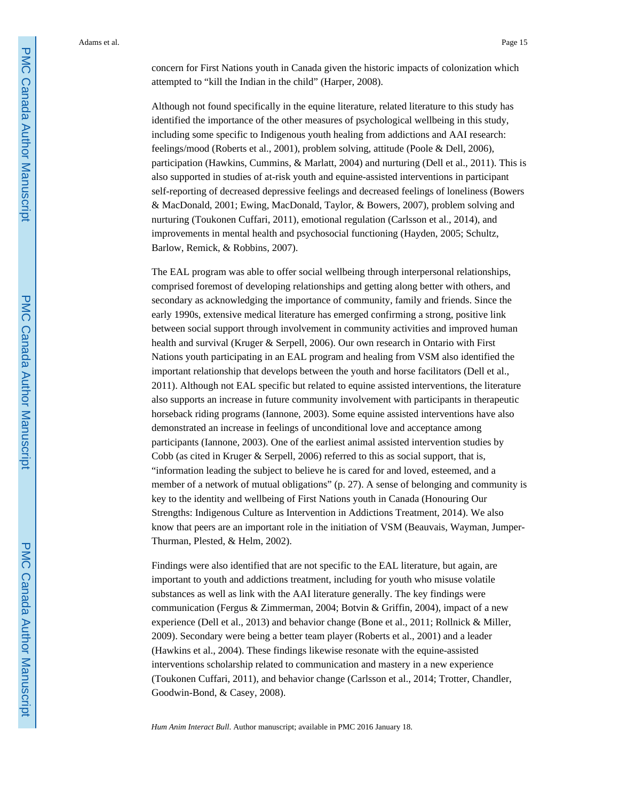concern for First Nations youth in Canada given the historic impacts of colonization which attempted to "kill the Indian in the child" (Harper, 2008).

Although not found specifically in the equine literature, related literature to this study has identified the importance of the other measures of psychological wellbeing in this study, including some specific to Indigenous youth healing from addictions and AAI research: feelings/mood (Roberts et al., 2001), problem solving, attitude (Poole & Dell, 2006), participation (Hawkins, Cummins, & Marlatt, 2004) and nurturing (Dell et al., 2011). This is also supported in studies of at-risk youth and equine-assisted interventions in participant self-reporting of decreased depressive feelings and decreased feelings of loneliness (Bowers & MacDonald, 2001; Ewing, MacDonald, Taylor, & Bowers, 2007), problem solving and nurturing (Toukonen Cuffari, 2011), emotional regulation (Carlsson et al., 2014), and improvements in mental health and psychosocial functioning (Hayden, 2005; Schultz, Barlow, Remick, & Robbins, 2007).

The EAL program was able to offer social wellbeing through interpersonal relationships, comprised foremost of developing relationships and getting along better with others, and secondary as acknowledging the importance of community, family and friends. Since the early 1990s, extensive medical literature has emerged confirming a strong, positive link between social support through involvement in community activities and improved human health and survival (Kruger & Serpell, 2006). Our own research in Ontario with First Nations youth participating in an EAL program and healing from VSM also identified the important relationship that develops between the youth and horse facilitators (Dell et al., 2011). Although not EAL specific but related to equine assisted interventions, the literature also supports an increase in future community involvement with participants in therapeutic horseback riding programs (Iannone, 2003). Some equine assisted interventions have also demonstrated an increase in feelings of unconditional love and acceptance among participants (Iannone, 2003). One of the earliest animal assisted intervention studies by Cobb (as cited in Kruger & Serpell, 2006) referred to this as social support, that is, "information leading the subject to believe he is cared for and loved, esteemed, and a member of a network of mutual obligations" (p. 27). A sense of belonging and community is key to the identity and wellbeing of First Nations youth in Canada (Honouring Our Strengths: Indigenous Culture as Intervention in Addictions Treatment, 2014). We also know that peers are an important role in the initiation of VSM (Beauvais, Wayman, Jumper-Thurman, Plested, & Helm, 2002).

Findings were also identified that are not specific to the EAL literature, but again, are important to youth and addictions treatment, including for youth who misuse volatile substances as well as link with the AAI literature generally. The key findings were communication (Fergus & Zimmerman, 2004; Botvin & Griffin, 2004), impact of a new experience (Dell et al., 2013) and behavior change (Bone et al., 2011; Rollnick & Miller, 2009). Secondary were being a better team player (Roberts et al., 2001) and a leader (Hawkins et al., 2004). These findings likewise resonate with the equine-assisted interventions scholarship related to communication and mastery in a new experience (Toukonen Cuffari, 2011), and behavior change (Carlsson et al., 2014; Trotter, Chandler, Goodwin-Bond, & Casey, 2008).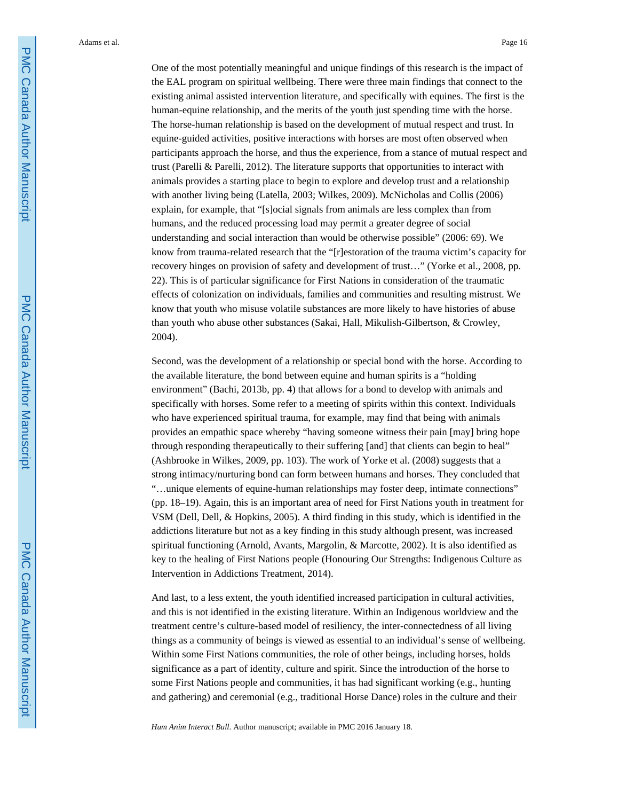One of the most potentially meaningful and unique findings of this research is the impact of the EAL program on spiritual wellbeing. There were three main findings that connect to the existing animal assisted intervention literature, and specifically with equines. The first is the human-equine relationship, and the merits of the youth just spending time with the horse. The horse-human relationship is based on the development of mutual respect and trust. In equine-guided activities, positive interactions with horses are most often observed when participants approach the horse, and thus the experience, from a stance of mutual respect and trust (Parelli & Parelli, 2012). The literature supports that opportunities to interact with animals provides a starting place to begin to explore and develop trust and a relationship with another living being (Latella, 2003; Wilkes, 2009). McNicholas and Collis (2006) explain, for example, that "[s]ocial signals from animals are less complex than from humans, and the reduced processing load may permit a greater degree of social understanding and social interaction than would be otherwise possible" (2006: 69). We know from trauma-related research that the "[r]estoration of the trauma victim's capacity for recovery hinges on provision of safety and development of trust…" (Yorke et al., 2008, pp. 22). This is of particular significance for First Nations in consideration of the traumatic effects of colonization on individuals, families and communities and resulting mistrust. We know that youth who misuse volatile substances are more likely to have histories of abuse than youth who abuse other substances (Sakai, Hall, Mikulish-Gilbertson, & Crowley, 2004).

Second, was the development of a relationship or special bond with the horse. According to the available literature, the bond between equine and human spirits is a "holding environment" (Bachi, 2013b, pp. 4) that allows for a bond to develop with animals and specifically with horses. Some refer to a meeting of spirits within this context. Individuals who have experienced spiritual trauma, for example, may find that being with animals provides an empathic space whereby "having someone witness their pain [may] bring hope through responding therapeutically to their suffering [and] that clients can begin to heal" (Ashbrooke in Wilkes, 2009, pp. 103). The work of Yorke et al. (2008) suggests that a strong intimacy/nurturing bond can form between humans and horses. They concluded that "…unique elements of equine-human relationships may foster deep, intimate connections" (pp. 18–19). Again, this is an important area of need for First Nations youth in treatment for VSM (Dell, Dell, & Hopkins, 2005). A third finding in this study, which is identified in the addictions literature but not as a key finding in this study although present, was increased spiritual functioning (Arnold, Avants, Margolin, & Marcotte, 2002). It is also identified as key to the healing of First Nations people (Honouring Our Strengths: Indigenous Culture as Intervention in Addictions Treatment, 2014).

And last, to a less extent, the youth identified increased participation in cultural activities, and this is not identified in the existing literature. Within an Indigenous worldview and the treatment centre's culture-based model of resiliency, the inter-connectedness of all living things as a community of beings is viewed as essential to an individual's sense of wellbeing. Within some First Nations communities, the role of other beings, including horses, holds significance as a part of identity, culture and spirit. Since the introduction of the horse to some First Nations people and communities, it has had significant working (e.g., hunting and gathering) and ceremonial (e.g., traditional Horse Dance) roles in the culture and their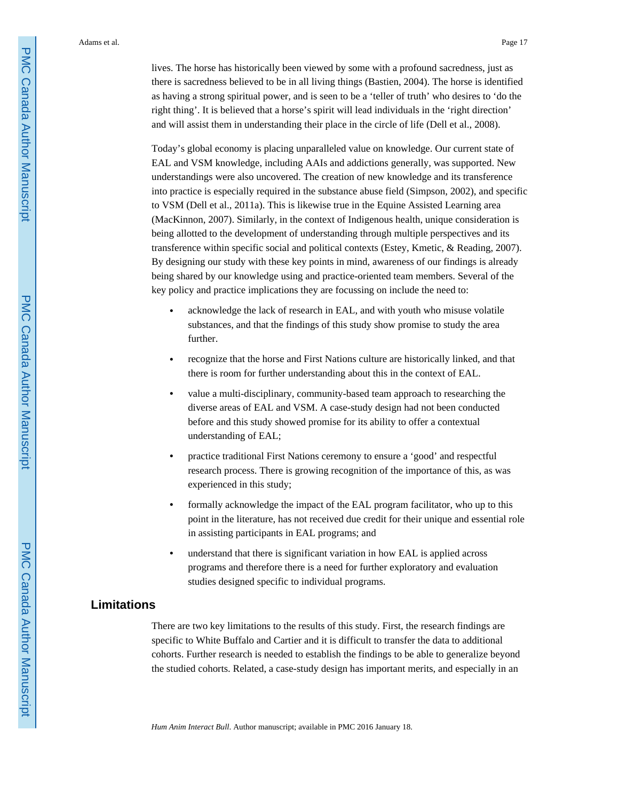lives. The horse has historically been viewed by some with a profound sacredness, just as there is sacredness believed to be in all living things (Bastien, 2004). The horse is identified as having a strong spiritual power, and is seen to be a 'teller of truth' who desires to 'do the right thing'. It is believed that a horse's spirit will lead individuals in the 'right direction' and will assist them in understanding their place in the circle of life (Dell et al., 2008).

Today's global economy is placing unparalleled value on knowledge. Our current state of EAL and VSM knowledge, including AAIs and addictions generally, was supported. New understandings were also uncovered. The creation of new knowledge and its transference into practice is especially required in the substance abuse field (Simpson, 2002), and specific to VSM (Dell et al., 2011a). This is likewise true in the Equine Assisted Learning area (MacKinnon, 2007). Similarly, in the context of Indigenous health, unique consideration is being allotted to the development of understanding through multiple perspectives and its transference within specific social and political contexts (Estey, Kmetic, & Reading, 2007). By designing our study with these key points in mind, awareness of our findings is already being shared by our knowledge using and practice-oriented team members. Several of the key policy and practice implications they are focussing on include the need to:

- **•** acknowledge the lack of research in EAL, and with youth who misuse volatile substances, and that the findings of this study show promise to study the area further.
- **•** recognize that the horse and First Nations culture are historically linked, and that there is room for further understanding about this in the context of EAL.
- **•** value a multi-disciplinary, community-based team approach to researching the diverse areas of EAL and VSM. A case-study design had not been conducted before and this study showed promise for its ability to offer a contextual understanding of EAL;
- **•** practice traditional First Nations ceremony to ensure a 'good' and respectful research process. There is growing recognition of the importance of this, as was experienced in this study;
- **•** formally acknowledge the impact of the EAL program facilitator, who up to this point in the literature, has not received due credit for their unique and essential role in assisting participants in EAL programs; and
- **•** understand that there is significant variation in how EAL is applied across programs and therefore there is a need for further exploratory and evaluation studies designed specific to individual programs.

## **Limitations**

There are two key limitations to the results of this study. First, the research findings are specific to White Buffalo and Cartier and it is difficult to transfer the data to additional cohorts. Further research is needed to establish the findings to be able to generalize beyond the studied cohorts. Related, a case-study design has important merits, and especially in an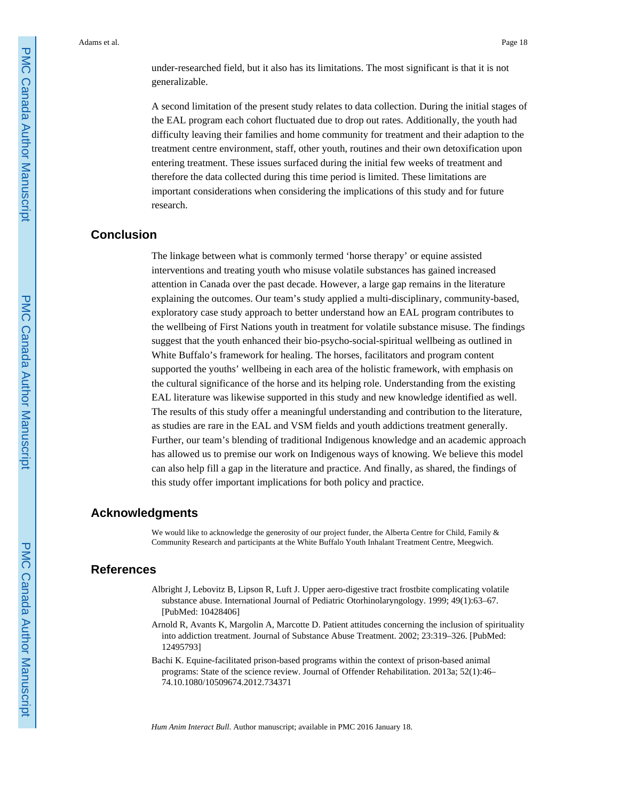under-researched field, but it also has its limitations. The most significant is that it is not generalizable.

A second limitation of the present study relates to data collection. During the initial stages of the EAL program each cohort fluctuated due to drop out rates. Additionally, the youth had difficulty leaving their families and home community for treatment and their adaption to the treatment centre environment, staff, other youth, routines and their own detoxification upon entering treatment. These issues surfaced during the initial few weeks of treatment and therefore the data collected during this time period is limited. These limitations are important considerations when considering the implications of this study and for future research.

## **Conclusion**

The linkage between what is commonly termed 'horse therapy' or equine assisted interventions and treating youth who misuse volatile substances has gained increased attention in Canada over the past decade. However, a large gap remains in the literature explaining the outcomes. Our team's study applied a multi-disciplinary, community-based, exploratory case study approach to better understand how an EAL program contributes to the wellbeing of First Nations youth in treatment for volatile substance misuse. The findings suggest that the youth enhanced their bio-psycho-social-spiritual wellbeing as outlined in White Buffalo's framework for healing. The horses, facilitators and program content supported the youths' wellbeing in each area of the holistic framework, with emphasis on the cultural significance of the horse and its helping role. Understanding from the existing EAL literature was likewise supported in this study and new knowledge identified as well. The results of this study offer a meaningful understanding and contribution to the literature, as studies are rare in the EAL and VSM fields and youth addictions treatment generally. Further, our team's blending of traditional Indigenous knowledge and an academic approach has allowed us to premise our work on Indigenous ways of knowing. We believe this model can also help fill a gap in the literature and practice. And finally, as shared, the findings of this study offer important implications for both policy and practice.

#### **Acknowledgments**

We would like to acknowledge the generosity of our project funder, the Alberta Centre for Child, Family & Community Research and participants at the White Buffalo Youth Inhalant Treatment Centre, Meegwich.

## **References**

- Albright J, Lebovitz B, Lipson R, Luft J. Upper aero-digestive tract frostbite complicating volatile substance abuse. International Journal of Pediatric Otorhinolaryngology. 1999; 49(1):63–67. [PubMed: 10428406]
- Arnold R, Avants K, Margolin A, Marcotte D. Patient attitudes concerning the inclusion of spirituality into addiction treatment. Journal of Substance Abuse Treatment. 2002; 23:319–326. [PubMed: 12495793]
- Bachi K. Equine-facilitated prison-based programs within the context of prison-based animal programs: State of the science review. Journal of Offender Rehabilitation. 2013a; 52(1):46– 74.10.1080/10509674.2012.734371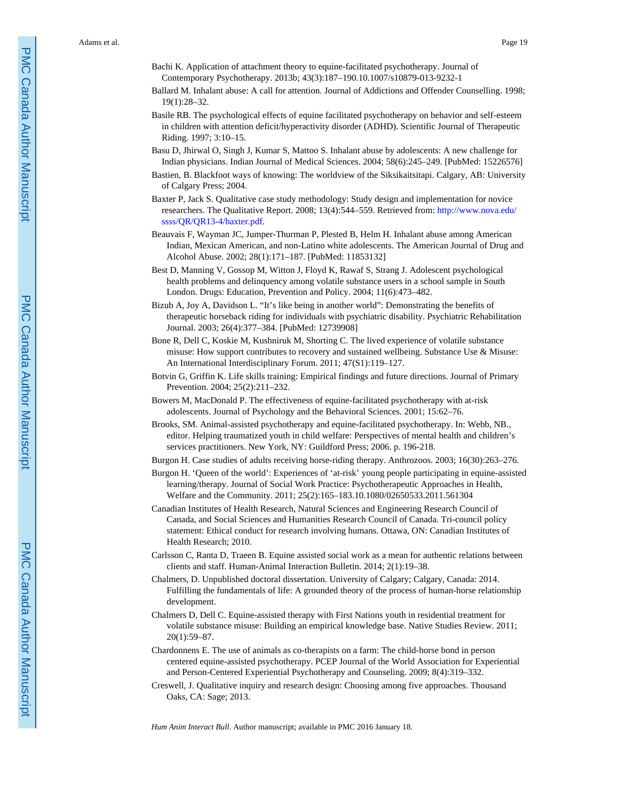- Bachi K. Application of attachment theory to equine-facilitated psychotherapy. Journal of Contemporary Psychotherapy. 2013b; 43(3):187–190.10.1007/s10879-013-9232-1
- Ballard M. Inhalant abuse: A call for attention. Journal of Addictions and Offender Counselling. 1998; 19(1):28–32.
- Basile RB. The psychological effects of equine facilitated psychotherapy on behavior and self-esteem in children with attention deficit/hyperactivity disorder (ADHD). Scientific Journal of Therapeutic Riding. 1997; 3:10–15.
- Basu D, Jhirwal O, Singh J, Kumar S, Mattoo S. Inhalant abuse by adolescents: A new challenge for Indian physicians. Indian Journal of Medical Sciences. 2004; 58(6):245–249. [PubMed: 15226576]
- Bastien, B. Blackfoot ways of knowing: The worldview of the Siksikaitsitapi. Calgary, AB: University of Calgary Press; 2004.
- Baxter P, Jack S. Qualitative case study methodology: Study design and implementation for novice researchers. The Qualitative Report. 2008; 13(4):544–559. Retrieved from: [http://www.nova.edu/](http://www.nova.edu/ssss/QR/QR13-4/baxter.pdf) [ssss/QR/QR13-4/baxter.pdf.](http://www.nova.edu/ssss/QR/QR13-4/baxter.pdf)
- Beauvais F, Wayman JC, Jumper-Thurman P, Plested B, Helm H. Inhalant abuse among American Indian, Mexican American, and non-Latino white adolescents. The American Journal of Drug and Alcohol Abuse. 2002; 28(1):171–187. [PubMed: 11853132]
- Best D, Manning V, Gossop M, Witton J, Floyd K, Rawaf S, Strang J. Adolescent psychological health problems and delinquency among volatile substance users in a school sample in South London. Drugs: Education, Prevention and Policy. 2004; 11(6):473–482.
- Bizub A, Joy A, Davidson L. "It's like being in another world": Demonstrating the benefits of therapeutic horseback riding for individuals with psychiatric disability. Psychiatric Rehabilitation Journal. 2003; 26(4):377–384. [PubMed: 12739908]
- Bone R, Dell C, Koskie M, Kushniruk M, Shorting C. The lived experience of volatile substance misuse: How support contributes to recovery and sustained wellbeing. Substance Use & Misuse: An International Interdisciplinary Forum. 2011; 47(S1):119–127.
- Botvin G, Griffin K. Life skills training: Empirical findings and future directions. Journal of Primary Prevention. 2004; 25(2):211–232.
- Bowers M, MacDonald P. The effectiveness of equine-facilitated psychotherapy with at-risk adolescents. Journal of Psychology and the Behavioral Sciences. 2001; 15:62–76.
- Brooks, SM. Animal-assisted psychotherapy and equine-facilitated psychotherapy. In: Webb, NB., editor. Helping traumatized youth in child welfare: Perspectives of mental health and children's services practitioners. New York, NY: Guildford Press; 2006. p. 196-218.
- Burgon H. Case studies of adults receiving horse-riding therapy. Anthrozoos. 2003; 16(30):263–276.
- Burgon H. 'Queen of the world': Experiences of 'at-risk' young people participating in equine-assisted learning/therapy. Journal of Social Work Practice: Psychotherapeutic Approaches in Health, Welfare and the Community. 2011; 25(2):165–183.10.1080/02650533.2011.561304
- Canadian Institutes of Health Research, Natural Sciences and Engineering Research Council of Canada, and Social Sciences and Humanities Research Council of Canada. Tri-council policy statement: Ethical conduct for research involving humans. Ottawa, ON: Canadian Institutes of Health Research; 2010.
- Carlsson C, Ranta D, Traeen B. Equine assisted social work as a mean for authentic relations between clients and staff. Human-Animal Interaction Bulletin. 2014; 2(1):19–38.
- Chalmers, D. Unpublished doctoral dissertation. University of Calgary; Calgary, Canada: 2014. Fulfilling the fundamentals of life: A grounded theory of the process of human-horse relationship development.
- Chalmers D, Dell C. Equine-assisted therapy with First Nations youth in residential treatment for volatile substance misuse: Building an empirical knowledge base. Native Studies Review. 2011; 20(1):59–87.
- Chardonnens E. The use of animals as co-therapists on a farm: The child-horse bond in person centered equine-assisted psychotherapy. PCEP Journal of the World Association for Experiential and Person-Centered Experiential Psychotherapy and Counseling. 2009; 8(4):319–332.
- Creswell, J. Qualitative inquiry and research design: Choosing among five approaches. Thousand Oaks, CA: Sage; 2013.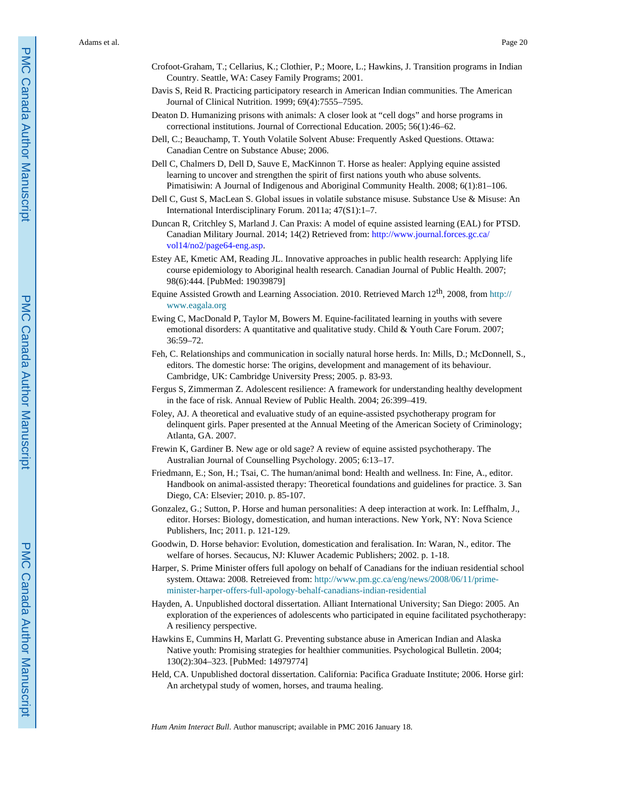- Crofoot-Graham, T.; Cellarius, K.; Clothier, P.; Moore, L.; Hawkins, J. Transition programs in Indian Country. Seattle, WA: Casey Family Programs; 2001.
- Davis S, Reid R. Practicing participatory research in American Indian communities. The American Journal of Clinical Nutrition. 1999; 69(4):7555–7595.
- Deaton D. Humanizing prisons with animals: A closer look at "cell dogs" and horse programs in correctional institutions. Journal of Correctional Education. 2005; 56(1):46–62.
- Dell, C.; Beauchamp, T. Youth Volatile Solvent Abuse: Frequently Asked Questions. Ottawa: Canadian Centre on Substance Abuse; 2006.
- Dell C, Chalmers D, Dell D, Sauve E, MacKinnon T. Horse as healer: Applying equine assisted learning to uncover and strengthen the spirit of first nations youth who abuse solvents. Pimatisiwin: A Journal of Indigenous and Aboriginal Community Health. 2008; 6(1):81–106.
- Dell C, Gust S, MacLean S. Global issues in volatile substance misuse. Substance Use & Misuse: An International Interdisciplinary Forum. 2011a; 47(S1):1–7.
- Duncan R, Critchley S, Marland J. Can Praxis: A model of equine assisted learning (EAL) for PTSD. Canadian Military Journal. 2014; 14(2) Retrieved from: [http://www.journal.forces.gc.ca/](http://www.journal.forces.gc.ca/vol14/no2/page64-eng.asp) [vol14/no2/page64-eng.asp](http://www.journal.forces.gc.ca/vol14/no2/page64-eng.asp).
- Estey AE, Kmetic AM, Reading JL. Innovative approaches in public health research: Applying life course epidemiology to Aboriginal health research. Canadian Journal of Public Health. 2007; 98(6):444. [PubMed: 19039879]
- Equine Assisted Growth and Learning Association. 2010. Retrieved March 12th, 2008, from [http://](http://www.eagala.org) [www.eagala.org](http://www.eagala.org)
- Ewing C, MacDonald P, Taylor M, Bowers M. Equine-facilitated learning in youths with severe emotional disorders: A quantitative and qualitative study. Child & Youth Care Forum. 2007; 36:59–72.
- Feh, C. Relationships and communication in socially natural horse herds. In: Mills, D.; McDonnell, S., editors. The domestic horse: The origins, development and management of its behaviour. Cambridge, UK: Cambridge University Press; 2005. p. 83-93.
- Fergus S, Zimmerman Z. Adolescent resilience: A framework for understanding healthy development in the face of risk. Annual Review of Public Health. 2004; 26:399–419.
- Foley, AJ. A theoretical and evaluative study of an equine-assisted psychotherapy program for delinquent girls. Paper presented at the Annual Meeting of the American Society of Criminology; Atlanta, GA. 2007.
- Frewin K, Gardiner B. New age or old sage? A review of equine assisted psychotherapy. The Australian Journal of Counselling Psychology. 2005; 6:13–17.
- Friedmann, E.; Son, H.; Tsai, C. The human/animal bond: Health and wellness. In: Fine, A., editor. Handbook on animal-assisted therapy: Theoretical foundations and guidelines for practice. 3. San Diego, CA: Elsevier; 2010. p. 85-107.
- Gonzalez, G.; Sutton, P. Horse and human personalities: A deep interaction at work. In: Leffhalm, J., editor. Horses: Biology, domestication, and human interactions. New York, NY: Nova Science Publishers, Inc; 2011. p. 121-129.
- Goodwin, D. Horse behavior: Evolution, domestication and feralisation. In: Waran, N., editor. The welfare of horses. Secaucus, NJ: Kluwer Academic Publishers; 2002. p. 1-18.
- Harper, S. Prime Minister offers full apology on behalf of Canadians for the indiuan residential school system. Ottawa: 2008. Retreieved from: [http://www.pm.gc.ca/eng/news/2008/06/11/prime](http://www.pm.gc.ca/eng/news/2008/06/11/prime-minister-harper-offers-full-apology-behalf-canadians-indian-residential)[minister-harper-offers-full-apology-behalf-canadians-indian-residential](http://www.pm.gc.ca/eng/news/2008/06/11/prime-minister-harper-offers-full-apology-behalf-canadians-indian-residential)
- Hayden, A. Unpublished doctoral dissertation. Alliant International University; San Diego: 2005. An exploration of the experiences of adolescents who participated in equine facilitated psychotherapy: A resiliency perspective.
- Hawkins E, Cummins H, Marlatt G. Preventing substance abuse in American Indian and Alaska Native youth: Promising strategies for healthier communities. Psychological Bulletin. 2004; 130(2):304–323. [PubMed: 14979774]
- Held, CA. Unpublished doctoral dissertation. California: Pacifica Graduate Institute; 2006. Horse girl: An archetypal study of women, horses, and trauma healing.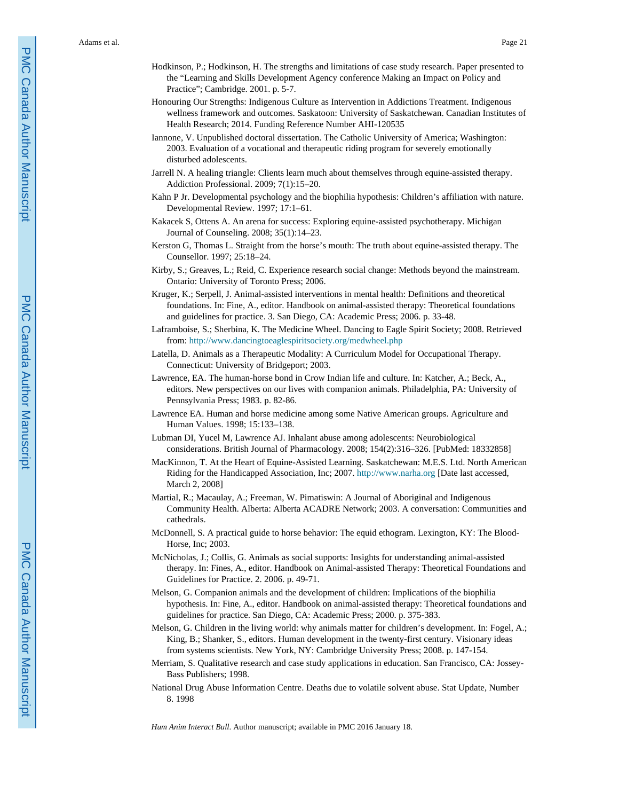- Hodkinson, P.; Hodkinson, H. The strengths and limitations of case study research. Paper presented to the "Learning and Skills Development Agency conference Making an Impact on Policy and Practice"; Cambridge. 2001. p. 5-7.
- Honouring Our Strengths: Indigenous Culture as Intervention in Addictions Treatment. Indigenous wellness framework and outcomes. Saskatoon: University of Saskatchewan. Canadian Institutes of Health Research; 2014. Funding Reference Number AHI-120535
- Iannone, V. Unpublished doctoral dissertation. The Catholic University of America; Washington: 2003. Evaluation of a vocational and therapeutic riding program for severely emotionally disturbed adolescents.
- Jarrell N. A healing triangle: Clients learn much about themselves through equine-assisted therapy. Addiction Professional. 2009; 7(1):15–20.
- Kahn P Jr. Developmental psychology and the biophilia hypothesis: Children's affiliation with nature. Developmental Review. 1997; 17:1–61.
- Kakacek S, Ottens A. An arena for success: Exploring equine-assisted psychotherapy. Michigan Journal of Counseling. 2008; 35(1):14–23.
- Kerston G, Thomas L. Straight from the horse's mouth: The truth about equine-assisted therapy. The Counsellor. 1997; 25:18–24.
- Kirby, S.; Greaves, L.; Reid, C. Experience research social change: Methods beyond the mainstream. Ontario: University of Toronto Press; 2006.
- Kruger, K.; Serpell, J. Animal-assisted interventions in mental health: Definitions and theoretical foundations. In: Fine, A., editor. Handbook on animal-assisted therapy: Theoretical foundations and guidelines for practice. 3. San Diego, CA: Academic Press; 2006. p. 33-48.
- Laframboise, S.; Sherbina, K. The Medicine Wheel. Dancing to Eagle Spirit Society; 2008. Retrieved from:<http://www.dancingtoeaglespiritsociety.org/medwheel.php>
- Latella, D. Animals as a Therapeutic Modality: A Curriculum Model for Occupational Therapy. Connecticut: University of Bridgeport; 2003.
- Lawrence, EA. The human-horse bond in Crow Indian life and culture. In: Katcher, A.; Beck, A., editors. New perspectives on our lives with companion animals. Philadelphia, PA: University of Pennsylvania Press; 1983. p. 82-86.
- Lawrence EA. Human and horse medicine among some Native American groups. Agriculture and Human Values. 1998; 15:133–138.
- Lubman DI, Yucel M, Lawrence AJ. Inhalant abuse among adolescents: Neurobiological considerations. British Journal of Pharmacology. 2008; 154(2):316–326. [PubMed: 18332858]
- MacKinnon, T. At the Heart of Equine-Assisted Learning. Saskatchewan: M.E.S. Ltd. North American Riding for the Handicapped Association, Inc; 2007.<http://www.narha.org>[Date last accessed, March 2, 2008]
- Martial, R.; Macaulay, A.; Freeman, W. Pimatiswin: A Journal of Aboriginal and Indigenous Community Health. Alberta: Alberta ACADRE Network; 2003. A conversation: Communities and cathedrals.
- McDonnell, S. A practical guide to horse behavior: The equid ethogram. Lexington, KY: The Blood-Horse, Inc; 2003.
- McNicholas, J.; Collis, G. Animals as social supports: Insights for understanding animal-assisted therapy. In: Fines, A., editor. Handbook on Animal-assisted Therapy: Theoretical Foundations and Guidelines for Practice. 2. 2006. p. 49-71.
- Melson, G. Companion animals and the development of children: Implications of the biophilia hypothesis. In: Fine, A., editor. Handbook on animal-assisted therapy: Theoretical foundations and guidelines for practice. San Diego, CA: Academic Press; 2000. p. 375-383.
- Melson, G. Children in the living world: why animals matter for children's development. In: Fogel, A.; King, B.; Shanker, S., editors. Human development in the twenty-first century. Visionary ideas from systems scientists. New York, NY: Cambridge University Press; 2008. p. 147-154.
- Merriam, S. Qualitative research and case study applications in education. San Francisco, CA: Jossey-Bass Publishers; 1998.
- National Drug Abuse Information Centre. Deaths due to volatile solvent abuse. Stat Update, Number 8. 1998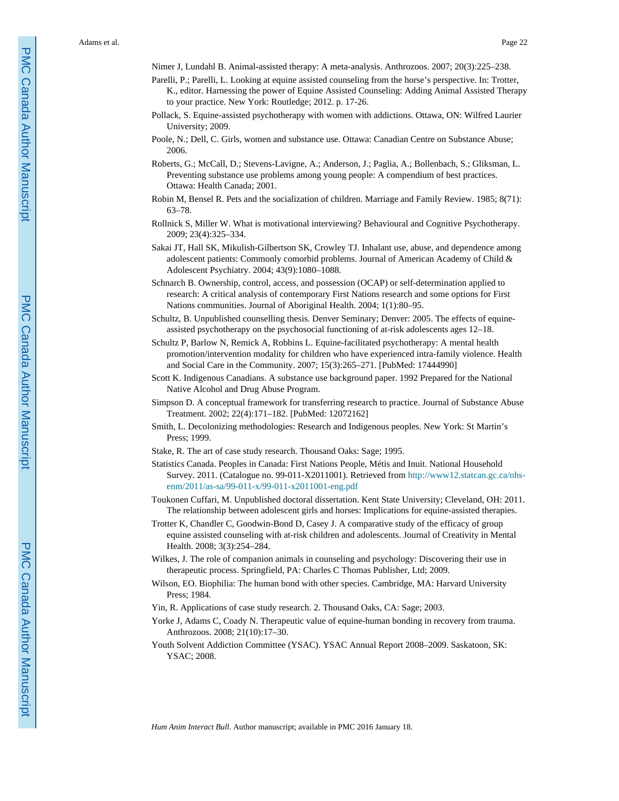- Nimer J, Lundahl B. Animal-assisted therapy: A meta-analysis. Anthrozoos. 2007; 20(3):225–238.
- Parelli, P.; Parelli, L. Looking at equine assisted counseling from the horse's perspective. In: Trotter, K., editor. Harnessing the power of Equine Assisted Counseling: Adding Animal Assisted Therapy to your practice. New York: Routledge; 2012. p. 17-26.
- Pollack, S. Equine-assisted psychotherapy with women with addictions. Ottawa, ON: Wilfred Laurier University; 2009.
- Poole, N.; Dell, C. Girls, women and substance use. Ottawa: Canadian Centre on Substance Abuse; 2006.
- Roberts, G.; McCall, D.; Stevens-Lavigne, A.; Anderson, J.; Paglia, A.; Bollenbach, S.; Gliksman, L. Preventing substance use problems among young people: A compendium of best practices. Ottawa: Health Canada; 2001.
- Robin M, Bensel R. Pets and the socialization of children. Marriage and Family Review. 1985; 8(71): 63–78.
- Rollnick S, Miller W. What is motivational interviewing? Behavioural and Cognitive Psychotherapy. 2009; 23(4):325–334.
- Sakai JT, Hall SK, Mikulish-Gilbertson SK, Crowley TJ. Inhalant use, abuse, and dependence among adolescent patients: Commonly comorbid problems. Journal of American Academy of Child & Adolescent Psychiatry. 2004; 43(9):1080–1088.
- Schnarch B. Ownership, control, access, and possession (OCAP) or self-determination applied to research: A critical analysis of contemporary First Nations research and some options for First Nations communities. Journal of Aboriginal Health. 2004; 1(1):80–95.
- Schultz, B. Unpublished counselling thesis. Denver Seminary; Denver: 2005. The effects of equineassisted psychotherapy on the psychosocial functioning of at-risk adolescents ages 12–18.
- Schultz P, Barlow N, Remick A, Robbins L. Equine-facilitated psychotherapy: A mental health promotion/intervention modality for children who have experienced intra-family violence. Health and Social Care in the Community. 2007; 15(3):265–271. [PubMed: 17444990]
- Scott K. Indigenous Canadians. A substance use background paper. 1992 Prepared for the National Native Alcohol and Drug Abuse Program.
- Simpson D. A conceptual framework for transferring research to practice. Journal of Substance Abuse Treatment. 2002; 22(4):171–182. [PubMed: 12072162]
- Smith, L. Decolonizing methodologies: Research and Indigenous peoples. New York: St Martin's Press; 1999.
- Stake, R. The art of case study research. Thousand Oaks: Sage; 1995.
- Statistics Canada. Peoples in Canada: First Nations People, Métis and Inuit. National Household Survey. 2011. (Catalogue no. 99-011-X2011001). Retrieved from [http://www12.statcan.gc.ca/nhs](http://www12.statcan.gc.ca/nhs-enm/2011/as-sa/99-011-x/99-011-x2011001-eng.pdf)[enm/2011/as-sa/99-011-x/99-011-x2011001-eng.pdf](http://www12.statcan.gc.ca/nhs-enm/2011/as-sa/99-011-x/99-011-x2011001-eng.pdf)
- Toukonen Cuffari, M. Unpublished doctoral dissertation. Kent State University; Cleveland, OH: 2011. The relationship between adolescent girls and horses: Implications for equine-assisted therapies.
- Trotter K, Chandler C, Goodwin-Bond D, Casey J. A comparative study of the efficacy of group equine assisted counseling with at-risk children and adolescents. Journal of Creativity in Mental Health. 2008; 3(3):254–284.
- Wilkes, J. The role of companion animals in counseling and psychology: Discovering their use in therapeutic process. Springfield, PA: Charles C Thomas Publisher, Ltd; 2009.
- Wilson, EO. Biophilia: The human bond with other species. Cambridge, MA: Harvard University Press; 1984.
- Yin, R. Applications of case study research. 2. Thousand Oaks, CA: Sage; 2003.
- Yorke J, Adams C, Coady N. Therapeutic value of equine-human bonding in recovery from trauma. Anthrozoos. 2008; 21(10):17–30.
- Youth Solvent Addiction Committee (YSAC). YSAC Annual Report 2008–2009. Saskatoon, SK: YSAC; 2008.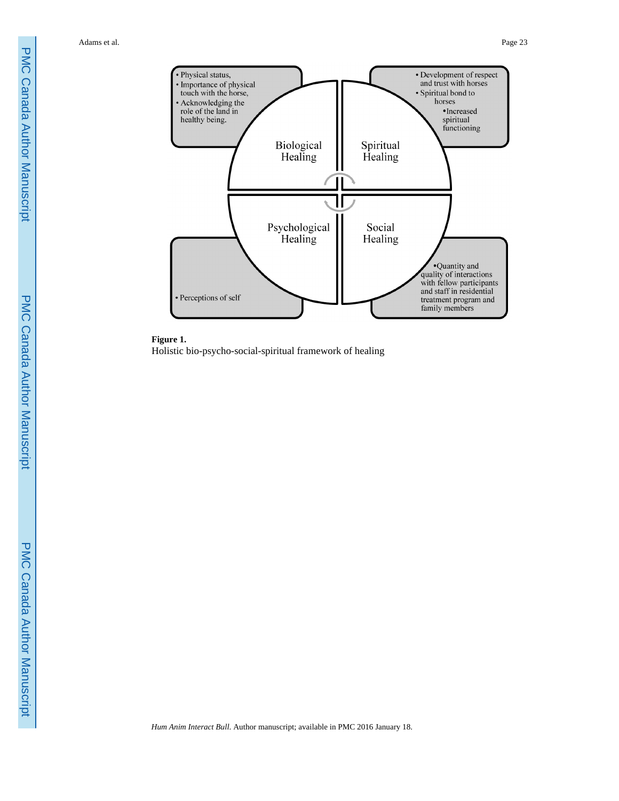



Holistic bio-psycho-social-spiritual framework of healing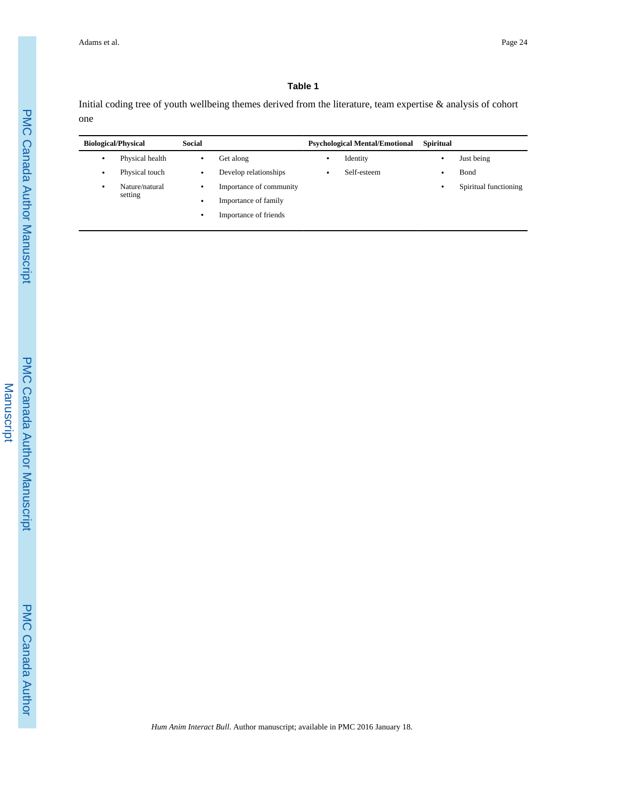## **Table 1**

Initial coding tree of youth wellbeing themes derived from the literature, team expertise & analysis of cohort one

| <b>Biological/Physical</b> |                           | <b>Social</b> |                         | <b>Psychological Mental/Emotional</b> |             | <b>Spiritual</b> |                       |
|----------------------------|---------------------------|---------------|-------------------------|---------------------------------------|-------------|------------------|-----------------------|
| ٠                          | Physical health           | ٠             | Get along               | ٠                                     | Identity    | ٠                | Just being            |
| ٠                          | Physical touch            | ٠             | Develop relationships   | ٠                                     | Self-esteem | ٠                | Bond                  |
| ٠                          | Nature/natural<br>setting | ٠             | Importance of community |                                       |             | ٠                | Spiritual functioning |
|                            |                           | ٠             | Importance of family    |                                       |             |                  |                       |
|                            |                           | ٠             | Importance of friends   |                                       |             |                  |                       |
|                            |                           |               |                         |                                       |             |                  |                       |